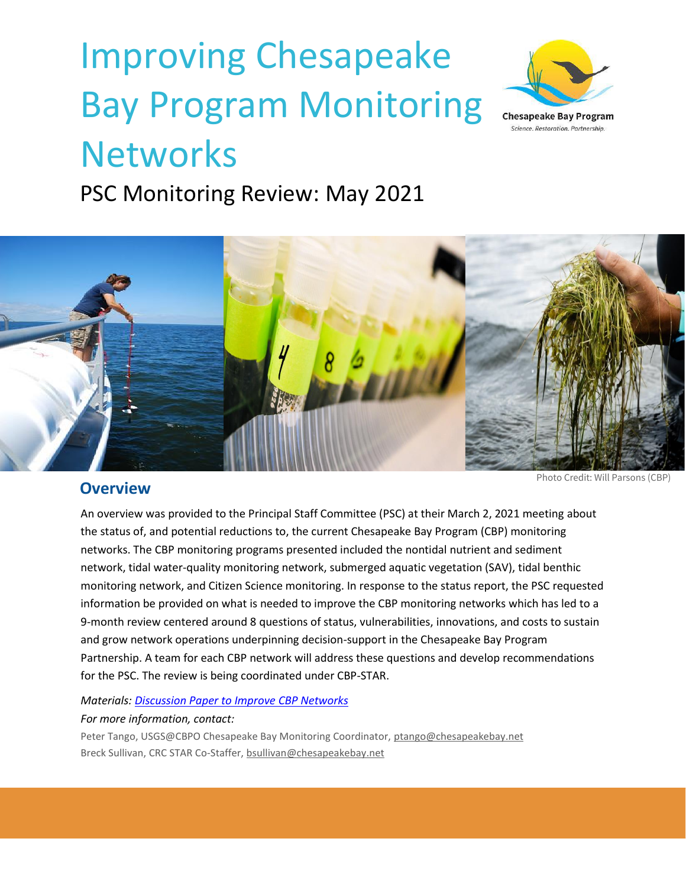# Improving Chesapeake Bay Program Monitoring **Networks**



PSC Monitoring Review: May 2021



## **Overview**

Photo Credit: Will Parsons (CBP)

An overview was provided to the Principal Staff Committee (PSC) at their March 2, 2021 meeting about the status of, and potential reductions to, the current Chesapeake Bay Program (CBP) monitoring networks. The CBP monitoring programs presented included the nontidal nutrient and sediment network, tidal water-quality monitoring network, submerged aquatic vegetation (SAV), tidal benthic monitoring network, and Citizen Science monitoring. In response to the status report, the PSC requested information be provided on what is needed to improve the CBP monitoring networks which has led to a 9-month review centered around 8 questions of status, vulnerabilities, innovations, and costs to sustain and grow network operations underpinning decision-support in the Chesapeake Bay Program Partnership. A team for each CBP network will address these questions and develop recommendations for the PSC. The review is being coordinated under CBP-STAR.

#### *Materials: [Discussion Paper to Improve](https://www.chesapeakebay.net/channel_files/42990/discussion_paper_to_improve_cbp_networks_april_1_for_mb_submitted.pdf) CBP Networks*

#### *For more information, contact:*

Peter Tango, USGS@CBPO Chesapeake Bay Monitoring Coordinator[, ptango@chesapeakebay.net](mailto:ptango@chesapeakebay.net) Breck Sullivan, CRC STAR Co-Staffer, [bsullivan@chesapeakebay.net](mailto:bsullivan@chesapeakebay.net)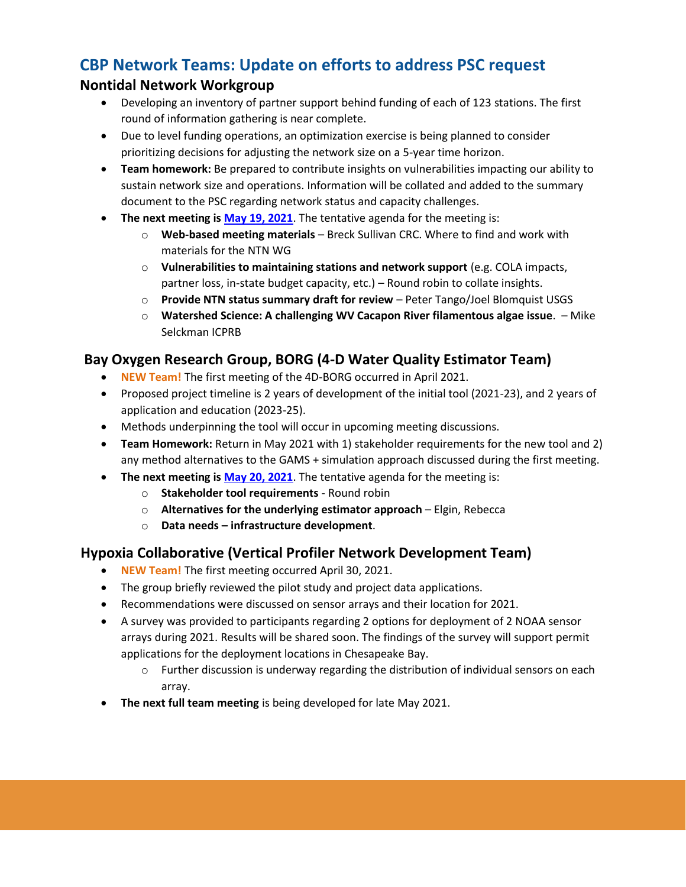## **CBP Network Teams: Update on efforts to address PSC request**

#### **Nontidal Network Workgroup**

- Developing an inventory of partner support behind funding of each of 123 stations. The first round of information gathering is near complete.
- Due to level funding operations, an optimization exercise is being planned to consider prioritizing decisions for adjusting the network size on a 5-year time horizon.
- **Team homework:** Be prepared to contribute insights on vulnerabilities impacting our ability to sustain network size and operations. Information will be collated and added to the summary document to the PSC regarding network status and capacity challenges.
- **The next meeting is [May 19, 2021](https://www.chesapeakebay.net/what/event/nontidal_network_may_2021_meeting)**. The tentative agenda for the meeting is:
	- o **Web-based meeting materials** Breck Sullivan CRC. Where to find and work with materials for the NTN WG
	- o **Vulnerabilities to maintaining stations and network support** (e.g. COLA impacts, partner loss, in-state budget capacity, etc.) – Round robin to collate insights.
	- o **Provide NTN status summary draft for review** Peter Tango/Joel Blomquist USGS
	- o **Watershed Science: A challenging WV Cacapon River filamentous algae issue**. Mike Selckman ICPRB

### **Bay Oxygen Research Group, BORG (4-D Water Quality Estimator Team)**

- **NEW Team!** The first meeting of the 4D-BORG occurred in April 2021.
- Proposed project timeline is 2 years of development of the initial tool (2021-23), and 2 years of application and education (2023-25).
- Methods underpinning the tool will occur in upcoming meeting discussions.
- **Team Homework:** Return in May 2021 with 1) stakeholder requirements for the new tool and 2) any method alternatives to the GAMS + simulation approach discussed during the first meeting.
- **The next meeting is [May 20, 2021](https://www.chesapeakebay.net/what/event/bay_oxygen_research_group_may_2021_meeting)**. The tentative agenda for the meeting is:
	- o **Stakeholder tool requirements** Round robin
	- o **Alternatives for the underlying estimator approach** Elgin, Rebecca
	- o **Data needs – infrastructure development**.

#### **Hypoxia Collaborative (Vertical Profiler Network Development Team)**

- **NEW Team!** The first meeting occurred April 30, 2021.
- The group briefly reviewed the pilot study and project data applications.
- Recommendations were discussed on sensor arrays and their location for 2021.
- A survey was provided to participants regarding 2 options for deployment of 2 NOAA sensor arrays during 2021. Results will be shared soon. The findings of the survey will support permit applications for the deployment locations in Chesapeake Bay.
	- $\circ$  Further discussion is underway regarding the distribution of individual sensors on each array.
- **The next full team meeting** is being developed for late May 2021.